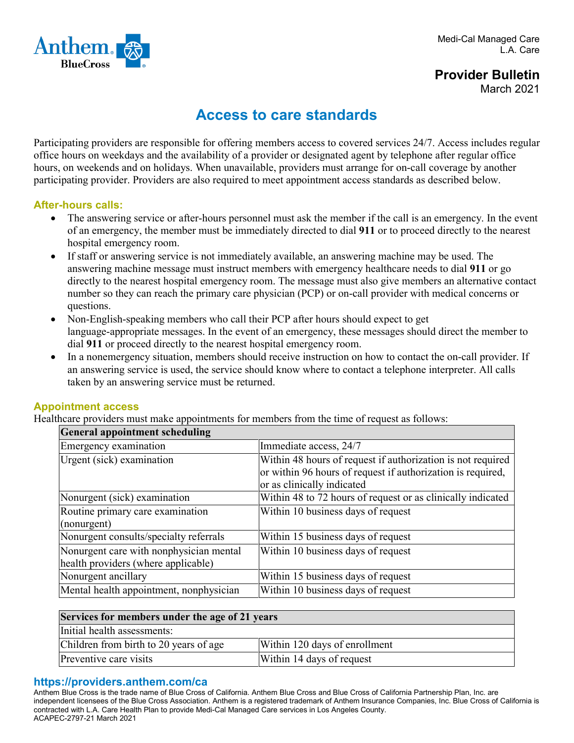

# **Provider Bulletin** March 2021

# **Access to care standards**

Participating providers are responsible for offering members access to covered services 24/7. Access includes regular office hours on weekdays and the availability of a provider or designated agent by telephone after regular office hours, on weekends and on holidays. When unavailable, providers must arrange for on-call coverage by another participating provider. Providers are also required to meet appointment access standards as described below.

### **After-hours calls:**

- The answering service or after-hours personnel must ask the member if the call is an emergency. In the event of an emergency, the member must be immediately directed to dial **911** or to proceed directly to the nearest hospital emergency room.
- If staff or answering service is not immediately available, an answering machine may be used. The answering machine message must instruct members with emergency healthcare needs to dial **911** or go directly to the nearest hospital emergency room. The message must also give members an alternative contact number so they can reach the primary care physician (PCP) or on-call provider with medical concerns or questions.
- Non-English-speaking members who call their PCP after hours should expect to get language-appropriate messages. In the event of an emergency, these messages should direct the member to dial **911** or proceed directly to the nearest hospital emergency room.
- In a nonemergency situation, members should receive instruction on how to contact the on-call provider. If an answering service is used, the service should know where to contact a telephone interpreter. All calls taken by an answering service must be returned.

### **Appointment access**

Healthcare providers must make appointments for members from the time of request as follows:

| <b>General appointment scheduling</b>                                          |                                                                                                                                                          |  |
|--------------------------------------------------------------------------------|----------------------------------------------------------------------------------------------------------------------------------------------------------|--|
| Emergency examination                                                          | Immediate access, 24/7                                                                                                                                   |  |
| Urgent (sick) examination                                                      | Within 48 hours of request if authorization is not required<br>or within 96 hours of request if authorization is required,<br>or as clinically indicated |  |
| Nonurgent (sick) examination                                                   | Within 48 to 72 hours of request or as clinically indicated                                                                                              |  |
| Routine primary care examination<br>(nonurgent)                                | Within 10 business days of request                                                                                                                       |  |
| Nonurgent consults/specialty referrals                                         | Within 15 business days of request                                                                                                                       |  |
| Nonurgent care with nonphysician mental<br>health providers (where applicable) | Within 10 business days of request                                                                                                                       |  |
| Nonurgent ancillary                                                            | Within 15 business days of request                                                                                                                       |  |
| Mental health appointment, nonphysician                                        | Within 10 business days of request                                                                                                                       |  |

| Services for members under the age of 21 years |                               |  |
|------------------------------------------------|-------------------------------|--|
| Initial health assessments:                    |                               |  |
| Children from birth to 20 years of age         | Within 120 days of enrollment |  |
| Preventive care visits                         | Within 14 days of request     |  |

### **https://providers.anthem.com/ca**

Anthem Blue Cross is the trade name of Blue Cross of California. Anthem Blue Cross and Blue Cross of California Partnership Plan, Inc. are independent licensees of the Blue Cross Association. Anthem is a registered trademark of Anthem Insurance Companies, Inc. Blue Cross of California is contracted with L.A. Care Health Plan to provide Medi-Cal Managed Care services in Los Angeles County. ACAPEC-2797-21 March 2021